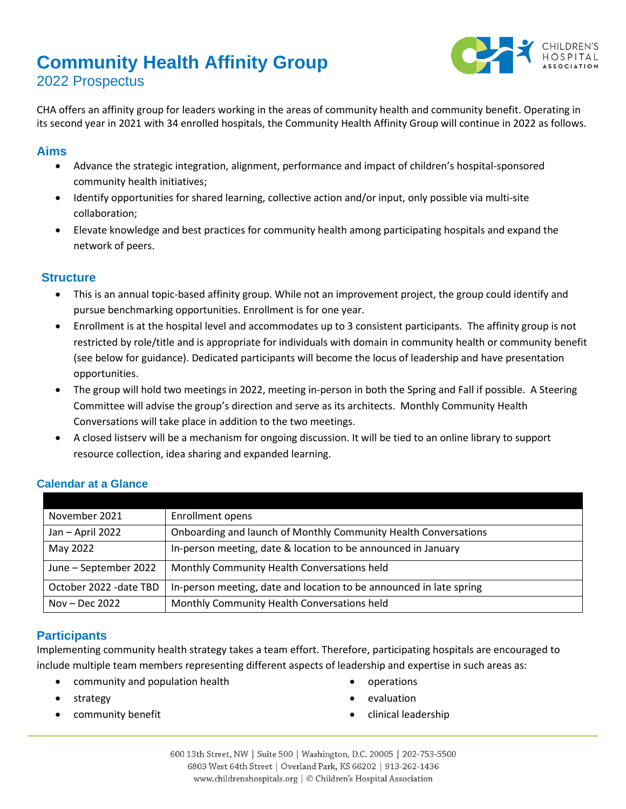# **Community Health Affinity Group** 2022 Prospectus



CHA offers an affinity group for leaders working in the areas of community health and community benefit. Operating in its second year in 2021 with 34 enrolled hospitals, the Community Health Affinity Group will continue in 2022 as follows.

## **Aims**

- Advance the strategic integration, alignment, performance and impact of children's hospital-sponsored community health initiatives;
- Identify opportunities for shared learning, collective action and/or input, only possible via multi-site collaboration;
- Elevate knowledge and best practices for community health among participating hospitals and expand the network of peers.

## **Structure**

- This is an annual topic-based affinity group. While not an improvement project, the group could identify and pursue benchmarking opportunities. Enrollment is for one year.
- Enrollment is at the hospital level and accommodates up to 3 consistent participants. The affinity group is not restricted by role/title and is appropriate for individuals with domain in community health or community benefit (see below for guidance). Dedicated participants will become the locus of leadership and have presentation opportunities.
- The group will hold two meetings in 2022, meeting in-person in both the Spring and Fall if possible. A Steering Committee will advise the group's direction and serve as its architects. Monthly Community Health Conversations will take place in addition to the two meetings.
- A closed listserv will be a mechanism for ongoing discussion. It will be tied to an online library to support resource collection, idea sharing and expanded learning.

| November 2021           | Enrollment opens                                                    |
|-------------------------|---------------------------------------------------------------------|
| Jan - April 2022        | Onboarding and launch of Monthly Community Health Conversations     |
| May 2022                | In-person meeting, date & location to be announced in January       |
| June - September 2022   | Monthly Community Health Conversations held                         |
| October 2022 - date TBD | In-person meeting, date and location to be announced in late spring |
| Nov – Dec 2022          | Monthly Community Health Conversations held                         |

## **Calendar at a Glance**

## **Participants**

Implementing community health strategy takes a team effort. Therefore, participating hospitals are encouraged to include multiple team members representing different aspects of leadership and expertise in such areas as:

- community and population health
- strategy
- community benefit
- operations
- evaluation
- clinical leadership